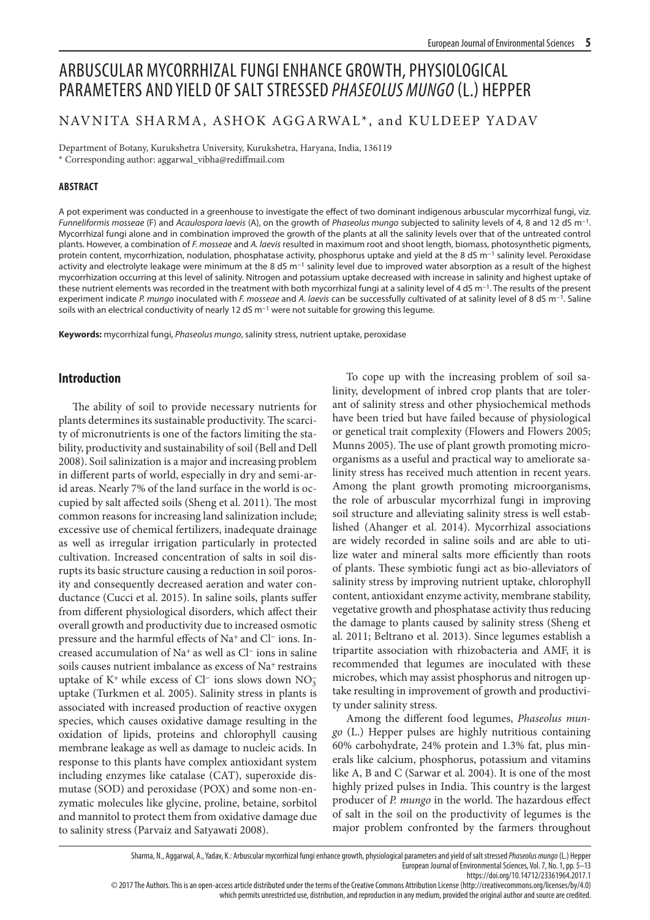# ARBUSCULAR MYCORRHIZAL FUNGI ENHANCE GROWTH, PHYSIOLOGICAL PARAMETERS AND YIELD OF SALT STRESSED *PHASEOLUS MUNGO* (L.) HEPPER

# NAVNITA SHARMA, ASHOK AGGARWAL\*, and KULDEEP YADAV

Department of Botany, Kurukshetra University, Kurukshetra, Haryana, India, 136119 \* Corresponding author: aggarwal\_vibha@rediffmail.com

# **ABSTRACT**

A pot experiment was conducted in a greenhouse to investigate the effect of two dominant indigenous arbuscular mycorrhizal fungi, viz. *Funneliformis mosseae* (F) and *Acaulospora laevis* (A), on the growth of *Phaseolus mungo* subjected to salinity levels of 4, 8 and 12 dS m−1. Mycorrhizal fungi alone and in combination improved the growth of the plants at all the salinity levels over that of the untreated control plants. However, a combination of *F. mosseae* and *A. laevis* resulted in maximum root and shoot length, biomass, photosynthetic pigments, protein content, mycorrhization, nodulation, phosphatase activity, phosphorus uptake and yield at the 8 dS m<sup>-1</sup> salinity level. Peroxidase activity and electrolyte leakage were minimum at the 8 dS m<sup>-1</sup> salinity level due to improved water absorption as a result of the highest mycorrhization occurring at this level of salinity. Nitrogen and potassium uptake decreased with increase in salinity and highest uptake of these nutrient elements was recorded in the treatment with both mycorrhizal fungi at a salinity level of 4 dS m−1. The results of the present experiment indicate *P. mungo* inoculated with *F. mosseae* and *A. laevis* can be successfully cultivated of at salinity level of 8 dS m−1. Saline soils with an electrical conductivity of nearly 12 dS m−1 were not suitable for growing this legume.

**Keywords:** mycorrhizal fungi, *Phaseolus mungo*, salinity stress, nutrient uptake, peroxidase

# **Introduction**

The ability of soil to provide necessary nutrients for plants determines its sustainable productivity. The scarcity of micronutrients is one of the factors limiting the stability, productivity and sustainability of soil (Bell and Dell 2008). Soil salinization is a major and increasing problem in different parts of world, especially in dry and semi-arid areas. Nearly 7% of the land surface in the world is occupied by salt affected soils (Sheng et al. 2011). The most common reasons for increasing land salinization include; excessive use of chemical fertilizers, inadequate drainage as well as irregular irrigation particularly in protected cultivation. Increased concentration of salts in soil disrupts its basic structure causing a reduction in soil porosity and consequently decreased aeration and water conductance (Cucci et al. 2015). In saline soils, plants suffer from different physiological disorders, which affect their overall growth and productivity due to increased osmotic pressure and the harmful effects of Na+ and Cl− ions. Increased accumulation of Na+ as well as Cl− ions in saline soils causes nutrient imbalance as excess of Na<sup>+</sup> restrains uptake of K<sup>+</sup> while excess of Cl<sup>−</sup> ions slows down  $NO_3^$ uptake (Turkmen et al. 2005). Salinity stress in plants is associated with increased production of reactive oxygen species, which causes oxidative damage resulting in the oxidation of lipids, proteins and chlorophyll causing membrane leakage as well as damage to nucleic acids. In response to this plants have complex antioxidant system including enzymes like catalase (CAT), superoxide dismutase (SOD) and peroxidase (POX) and some non-enzymatic molecules like glycine, proline, betaine, sorbitol and mannitol to protect them from oxidative damage due to salinity stress (Parvaiz and Satyawati 2008).

To cope up with the increasing problem of soil salinity, development of inbred crop plants that are tolerant of salinity stress and other physiochemical methods have been tried but have failed because of physiological or genetical trait complexity (Flowers and Flowers 2005; Munns 2005). The use of plant growth promoting microorganisms as a useful and practical way to ameliorate salinity stress has received much attention in recent years. Among the plant growth promoting microorganisms, the role of arbuscular mycorrhizal fungi in improving soil structure and alleviating salinity stress is well established (Ahanger et al. 2014). Mycorrhizal associations are widely recorded in saline soils and are able to utilize water and mineral salts more efficiently than roots of plants. These symbiotic fungi act as bio-alleviators of salinity stress by improving nutrient uptake, chlorophyll content, antioxidant enzyme activity, membrane stability, vegetative growth and phosphatase activity thus reducing the damage to plants caused by salinity stress (Sheng et al. 2011; Beltrano et al. 2013). Since legumes establish a tripartite association with rhizobacteria and AMF, it is recommended that legumes are inoculated with these microbes, which may assist phosphorus and nitrogen uptake resulting in improvement of growth and productivity under salinity stress.

Among the different food legumes, *Phaseolus mungo* (L.) Hepper pulses are highly nutritious containing 60% carbohydrate, 24% protein and 1.3% fat, plus minerals like calcium, phosphorus, potassium and vitamins like A, B and C (Sarwar et al. 2004). It is one of the most highly prized pulses in India. This country is the largest producer of *P. mungo* in the world. The hazardous effect of salt in the soil on the productivity of legumes is the major problem confronted by the farmers throughout

Sharma, N., Aggarwal, A., Yadav, K.: Arbuscular mycorrhizal fungi enhance growth, physiological parameters and yield of salt stressed *Phaseolus mungo* (L.) Hepper European Journal of Environmental Sciences, Vol. 7, No. 1, pp. 5–13

https://doi.org/10.14712/23361964.2017.1

© 2017 The Authors. This is an open-access article distributed under the terms of the Creative Commons Attribution License (http://creativecommons.org/licenses/by/4.0)

which permits unrestricted use, distribution, and reproduction in any medium, provided the original author and source are credited.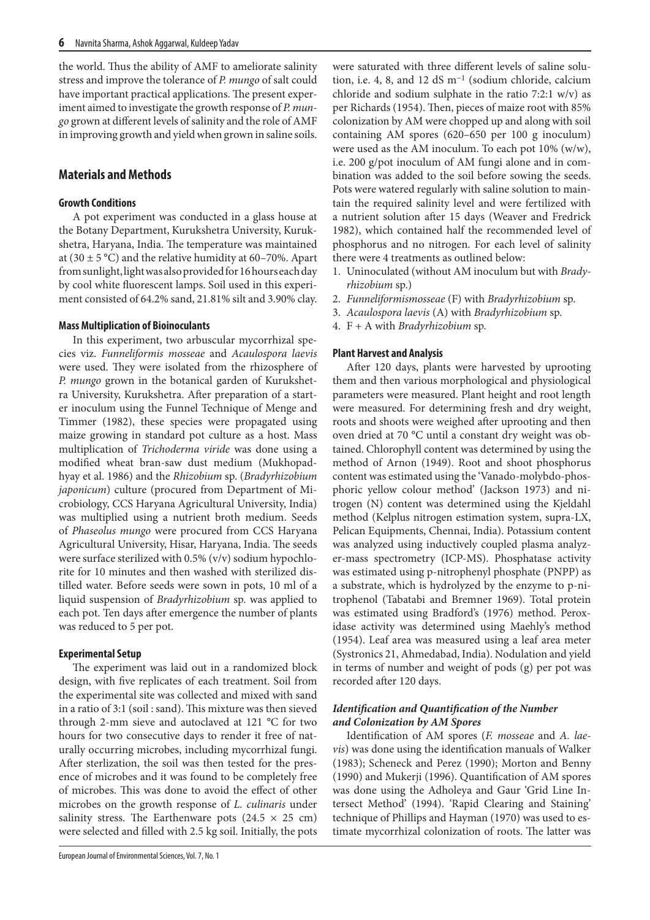the world. Thus the ability of AMF to ameliorate salinity stress and improve the tolerance of *P. mungo* of salt could have important practical applications. The present experiment aimed to investigate the growth response of *P. mungo* grown at different levels of salinity and the role of AMF in improving growth and yield when grown in saline soils.

# **Materials and Methods**

# **Growth Conditions**

A pot experiment was conducted in a glass house at the Botany Department, Kurukshetra University, Kurukshetra, Haryana, India. The temperature was maintained at (30  $\pm$  5 °C) and the relative humidity at 60–70%. Apart from sunlight, light was also provided for 16 hours each day by cool white fluorescent lamps. Soil used in this experiment consisted of 64.2% sand, 21.81% silt and 3.90% clay.

# **Mass Multiplication of Bioinoculants**

In this experiment, two arbuscular mycorrhizal species viz. *Funneliformis mosseae* and *Acaulospora laevis*  were used. They were isolated from the rhizosphere of *P. mungo* grown in the botanical garden of Kurukshetra University, Kurukshetra. After preparation of a starter inoculum using the Funnel Technique of Menge and Timmer (1982), these species were propagated using maize growing in standard pot culture as a host. Mass multiplication of *Trichoderma viride* was done using a modified wheat bran-saw dust medium (Mukhopadhyay et al. 1986) and the *Rhizobium* sp. (*Bradyrhizobium japonicum*) culture (procured from Department of Microbiology, CCS Haryana Agricultural University, India) was multiplied using a nutrient broth medium. Seeds of *Phaseolus mungo* were procured from CCS Haryana Agricultural University, Hisar, Haryana, India. The seeds were surface sterilized with 0.5% (v/v) sodium hypochlorite for 10 minutes and then washed with sterilized distilled water. Before seeds were sown in pots, 10 ml of a liquid suspension of *Bradyrhizobium* sp. was applied to each pot. Ten days after emergence the number of plants was reduced to 5 per pot.

# **Experimental Setup**

The experiment was laid out in a randomized block design, with five replicates of each treatment. Soil from the experimental site was collected and mixed with sand in a ratio of 3:1 (soil : sand). This mixture was then sieved through 2-mm sieve and autoclaved at 121 °C for two hours for two consecutive days to render it free of naturally occurring microbes, including mycorrhizal fungi. After sterlization, the soil was then tested for the presence of microbes and it was found to be completely free of microbes. This was done to avoid the effect of other microbes on the growth response of *L. culinaris* under salinity stress. The Earthenware pots  $(24.5 \times 25 \text{ cm})$ were selected and filled with 2.5 kg soil. Initially, the pots

were saturated with three different levels of saline solution, i.e. 4, 8, and 12 dS m−1 (sodium chloride, calcium chloride and sodium sulphate in the ratio 7:2:1 w/v) as per Richards (1954). Then, pieces of maize root with 85% colonization by AM were chopped up and along with soil containing AM spores (620–650 per 100 g inoculum) were used as the AM inoculum. To each pot 10% (w/w), i.e. 200 g/pot inoculum of AM fungi alone and in combination was added to the soil before sowing the seeds. Pots were watered regularly with saline solution to maintain the required salinity level and were fertilized with a nutrient solution after 15 days (Weaver and Fredrick 1982), which contained half the recommended level of phosphorus and no nitrogen. For each level of salinity there were 4 treatments as outlined below:

- 1. Uninoculated (without AM inoculum but with *Bradyrhizobium* sp.)
- 2. *Funneliformismosseae* (F) with *Bradyrhizobium* sp.
- 3. *Acaulospora laevis* (A) with *Bradyrhizobium* sp.
- 4. F + A with *Bradyrhizobium* sp.

# **Plant Harvest and Analysis**

After 120 days, plants were harvested by uprooting them and then various morphological and physiological parameters were measured. Plant height and root length were measured. For determining fresh and dry weight, roots and shoots were weighed after uprooting and then oven dried at 70 °C until a constant dry weight was obtained. Chlorophyll content was determined by using the method of Arnon (1949). Root and shoot phosphorus content was estimated using the 'Vanado-molybdo-phosphoric yellow colour method' (Jackson 1973) and nitrogen (N) content was determined using the Kjeldahl method (Kelplus nitrogen estimation system, supra-LX, Pelican Equipments, Chennai, India). Potassium content was analyzed using inductively coupled plasma analyzer-mass spectrometry (ICP-MS). Phosphatase activity was estimated using p-nitrophenyl phosphate (PNPP) as a substrate, which is hydrolyzed by the enzyme to p-nitrophenol (Tabatabi and Bremner 1969). Total protein was estimated using Bradford's (1976) method. Peroxidase activity was determined using Maehly's method (1954). Leaf area was measured using a leaf area meter (Systronics 21, Ahmedabad, India). Nodulation and yield in terms of number and weight of pods (g) per pot was recorded after 120 days.

# *Identification and Quantification of the Number and Colonization by AM Spores*

Identification of AM spores (*F. mosseae* and *A. laevis*) was done using the identification manuals of Walker (1983); Scheneck and Perez (1990); Morton and Benny (1990) and Mukerji (1996). Quantification of AM spores was done using the Adholeya and Gaur 'Grid Line Intersect Method' (1994). 'Rapid Clearing and Staining' technique of Phillips and Hayman (1970) was used to estimate mycorrhizal colonization of roots. The latter was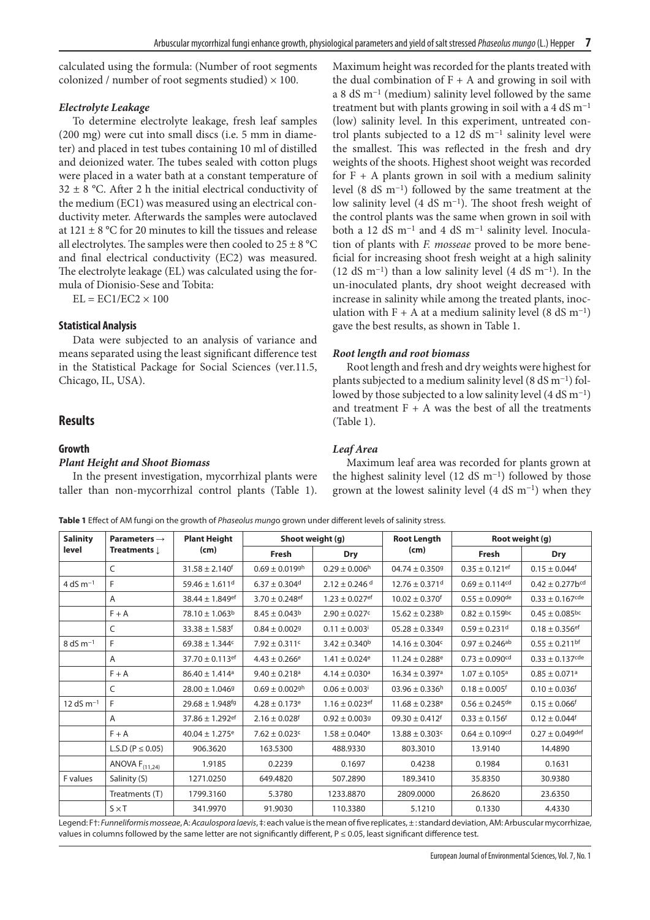calculated using the formula: (Number of root segments colonized / number of root segments studied)  $\times$  100.

# *Electrolyte Leakage*

To determine electrolyte leakage, fresh leaf samples (200 mg) were cut into small discs (i.e. 5 mm in diameter) and placed in test tubes containing 10 ml of distilled and deionized water. The tubes sealed with cotton plugs were placed in a water bath at a constant temperature of  $32 \pm 8$  °C. After 2 h the initial electrical conductivity of the medium (EC1) was measured using an electrical conductivity meter. Afterwards the samples were autoclaved at 121  $\pm$  8 °C for 20 minutes to kill the tissues and release all electrolytes. The samples were then cooled to  $25 \pm 8$  °C and final electrical conductivity (EC2) was measured. The electrolyte leakage (EL) was calculated using the formula of Dionisio-Sese and Tobita:

 $EL = EC1/EC2 \times 100$ 

# **Statistical Analysis**

Data were subjected to an analysis of variance and means separated using the least significant difference test in the Statistical Package for Social Sciences (ver.11.5, Chicago, IL, USA).

# **Results**

### **Growth**

#### *Plant Height and Shoot Biomass*

In the present investigation, mycorrhizal plants were taller than non-mycorrhizal control plants (Table 1).

Maximum height was recorded for the plants treated with the dual combination of  $F + A$  and growing in soil with a 8 dS m−1 (medium) salinity level followed by the same treatment but with plants growing in soil with a 4 dS m<sup>-1</sup> (low) salinity level. In this experiment, untreated control plants subjected to a 12 dS m−1 salinity level were the smallest. This was reflected in the fresh and dry weights of the shoots. Highest shoot weight was recorded for  $F + A$  plants grown in soil with a medium salinity level (8 dS m−1) followed by the same treatment at the low salinity level (4 dS m−1). The shoot fresh weight of the control plants was the same when grown in soil with both a 12 dS m−1 and 4 dS m−1 salinity level. Inoculation of plants with *F. mosseae* proved to be more beneficial for increasing shoot fresh weight at a high salinity (12 dS m<sup>-1</sup>) than a low salinity level (4 dS m<sup>-1</sup>). In the un-inoculated plants, dry shoot weight decreased with increase in salinity while among the treated plants, inoculation with F + A at a medium salinity level (8 dS m<sup>-1</sup>) gave the best results, as shown in Table 1.

# *Root length and root biomass*

Root length and fresh and dry weights were highest for plants subjected to a medium salinity level (8 dS m−1) followed by those subjected to a low salinity level (4 dS m−1) and treatment  $F + A$  was the best of all the treatments (Table 1).

# *Leaf Area*

Maximum leaf area was recorded for plants grown at the highest salinity level (12 dS m−1) followed by those grown at the lowest salinity level (4 dS m−1) when they

**Table 1** Effect of AM fungi on the growth of *Phaseolus mung*o grown under different levels of salinity stress.

| <b>Salinity</b> | Parameters $\rightarrow$<br>Treatments $\downarrow$ | <b>Plant Height</b><br>(cm)     | Shoot weight (g)               |                                | <b>Root Length</b>             | Root weight (g)                |                                  |
|-----------------|-----------------------------------------------------|---------------------------------|--------------------------------|--------------------------------|--------------------------------|--------------------------------|----------------------------------|
| level           |                                                     |                                 | Fresh                          | <b>Dry</b>                     | (cm)                           | Fresh                          | <b>Dry</b>                       |
|                 | C                                                   | $31.58 \pm 2.140$ <sup>f</sup>  | $0.69 \pm 0.019$ gh            | $0.29 \pm 0.006$ h             | $04.74 \pm 0.3509$             | $0.35 \pm 0.121$ ef            | $0.15 \pm 0.044$ <sup>f</sup>    |
| 4 dS $m^{-1}$   | F                                                   | $59.46 \pm 1.611$ <sup>d</sup>  | $6.37 \pm 0.304$ <sup>d</sup>  | $2.12 \pm 0.246$ d             | $12.76 \pm 0.371$ <sup>d</sup> | $0.69 \pm 0.114$ <sup>cd</sup> | $0.42 \pm 0.277$ b <sup>cd</sup> |
|                 | A                                                   | 38.44 $\pm$ 1.849 <sup>ef</sup> | $3.70 \pm 0.248$ ef            | $1.23 \pm 0.027$ ef            | $10.02 \pm 0.370$ <sup>f</sup> | $0.55 \pm 0.090$ <sup>de</sup> | $0.33 \pm 0.167$ <sup>cde</sup>  |
|                 | $F + A$                                             | $78.10 \pm 1.063^b$             | $8.45 \pm 0.043^b$             | $2.90 \pm 0.027$ c             | $15.62 \pm 0.238$ <sup>b</sup> | $0.82 \pm 0.159$ <sup>bc</sup> | $0.45 \pm 0.085^{bc}$            |
|                 | C                                                   | $33.38 \pm 1.583$ <sup>f</sup>  | $0.84 \pm 0.0029$              | $0.11 \pm 0.003$ <sup>i</sup>  | $05.28 \pm 0.3349$             | $0.59 \pm 0.231$ <sup>d</sup>  | $0.18 \pm 0.356$ <sup>ef</sup>   |
| $8 dS m-1$      | F                                                   | $69.38 \pm 1.344c$              | $7.92 \pm 0.311$ c             | $3.42 \pm 0.340$ <sup>b</sup>  | $14.16 \pm 0.304$ c            | $0.97 \pm 0.246$ <sup>ab</sup> | $0.55 \pm 0.211$ bf              |
|                 | A                                                   | $37.70 \pm 0.113$ ef            | $4.43 \pm 0.266$ <sup>e</sup>  | $1.41 \pm 0.024$ <sup>e</sup>  | $11.24 \pm 0.288$ <sup>e</sup> | $0.73 \pm 0.090$ <sup>cd</sup> | $0.33 \pm 0.137$ <sup>cde</sup>  |
|                 | $F + A$                                             | $86.40 \pm 1.414$ <sup>a</sup>  | $9.40 \pm 0.218$ <sup>a</sup>  | $4.14 \pm 0.030$ <sup>a</sup>  | $16.34 \pm 0.397$ <sup>a</sup> | $1.07 \pm 0.105$ <sup>a</sup>  | $0.85 \pm 0.071$ <sup>a</sup>    |
|                 | C                                                   | $28.00 \pm 1.0469$              | $0.69 \pm 0.002$ <sup>gh</sup> | $0.06 \pm 0.003$ <sup>i</sup>  | $03.96 \pm 0.336$ h            | $0.18 \pm 0.005$ <sup>f</sup>  | $0.10 \pm 0.036$ <sup>f</sup>    |
| 12 dS $m^{-1}$  | F                                                   | $29.68 \pm 1.948$ <sup>fg</sup> | $4.28 \pm 0.173$ <sup>e</sup>  | $1.16 \pm 0.023$ <sup>ef</sup> | $11.68 \pm 0.238$ <sup>e</sup> | $0.56 \pm 0.245$ de            | $0.15 \pm 0.066$ <sup>f</sup>    |
|                 | A                                                   | $37.86 \pm 1.292$ <sup>ef</sup> | $2.16 \pm 0.028$ <sup>f</sup>  | $0.92 \pm 0.0039$              | $09.30 \pm 0.412$ <sup>f</sup> | $0.33 \pm 0.156$ <sup>f</sup>  | $0.12 \pm 0.044$ <sup>f</sup>    |
|                 | $F + A$                                             | $40.04 \pm 1.275$ <sup>e</sup>  | $7.62 \pm 0.023$ c             | $1.58 \pm 0.040$ <sup>e</sup>  | $13.88 \pm 0.303$ c            | $0.64 \pm 0.109$ <sup>cd</sup> | $0.27 \pm 0.049$ def             |
|                 | L.S.D ( $P \le 0.05$ )                              | 906.3620                        | 163.5300                       | 488.9330                       | 803.3010                       | 13.9140                        | 14.4890                          |
|                 | ANOVA $F_{(11,24)}$                                 | 1.9185                          | 0.2239                         | 0.1697                         | 0.4238                         | 0.1984                         | 0.1631                           |
| F values        | Salinity (S)                                        | 1271.0250                       | 649.4820                       | 507.2890                       | 189.3410                       | 35.8350                        | 30.9380                          |
|                 | Treatments (T)                                      | 1799.3160                       | 5.3780                         | 1233.8870                      | 2809.0000                      | 26.8620                        | 23.6350                          |
|                 | $S \times T$                                        | 341.9970                        | 91.9030                        | 110.3380                       | 5.1210                         | 0.1330                         | 4.4330                           |

Legend: F†: *Funneliformis mosseae*, A: *Acaulospora laevis*, ‡: each value is the mean of five replicates, ± : standard deviation, AM: Arbuscular mycorrhizae, values in columns followed by the same letter are not significantly different,  $P \le 0.05$ , least significant difference test.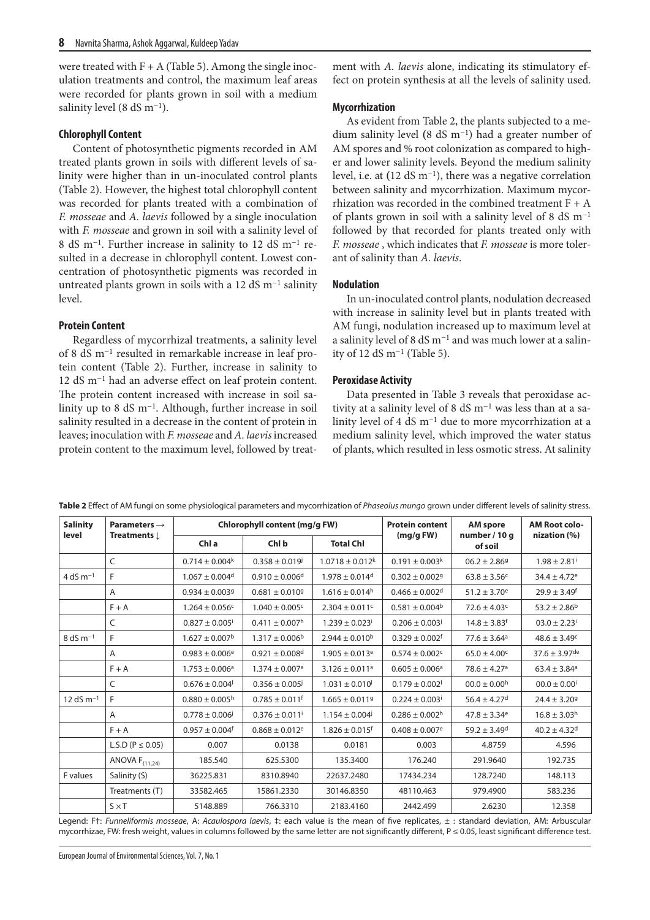were treated with  $F + A$  (Table 5). Among the single inoculation treatments and control, the maximum leaf areas were recorded for plants grown in soil with a medium salinity level (8 dS m<sup>-1</sup>).

#### **Chlorophyll Content**

Content of photosynthetic pigments recorded in AM treated plants grown in soils with different levels of salinity were higher than in un-inoculated control plants (Table 2). However, the highest total chlorophyll content was recorded for plants treated with a combination of *F. mosseae* and *A. laevis* followed by a single inoculation with *F. mosseae* and grown in soil with a salinity level of 8 dS m−1. Further increase in salinity to 12 dS m−1 resulted in a decrease in chlorophyll content. Lowest concentration of photosynthetic pigments was recorded in untreated plants grown in soils with a 12 dS m−1 salinity level.

### **Protein Content**

Regardless of mycorrhizal treatments, a salinity level of 8 dS m−1 resulted in remarkable increase in leaf protein content (Table 2). Further, increase in salinity to 12 dS m−1 had an adverse effect on leaf protein content. The protein content increased with increase in soil salinity up to 8 dS m−1. Although, further increase in soil salinity resulted in a decrease in the content of protein in leaves; inoculation with *F. mosseae* and *A. laevis* increased protein content to the maximum level, followed by treatment with *A. laevis* alone, indicating its stimulatory effect on protein synthesis at all the levels of salinity used.

#### **Mycorrhization**

As evident from Table 2, the plants subjected to a medium salinity level **(**8 dS m−1) had a greater number of AM spores and % root colonization as compared to higher and lower salinity levels. Beyond the medium salinity level, i.e. at **(**12 dS m−1), there was a negative correlation between salinity and mycorrhization. Maximum mycorrhization was recorded in the combined treatment  $F + A$ of plants grown in soil with a salinity level of 8 dS m−1 followed by that recorded for plants treated only with *F. mosseae* , which indicates that *F. mosseae* is more tolerant of salinity than *A. laevis*.

### **Nodulation**

In un-inoculated control plants, nodulation decreased with increase in salinity level but in plants treated with AM fungi, nodulation increased up to maximum level at a salinity level of 8 dS m−1 and was much lower at a salinity of 12 dS m−1 (Table 5).

#### **Peroxidase Activity**

Data presented in Table 3 reveals that peroxidase activity at a salinity level of 8 dS m−1 was less than at a salinity level of 4 dS m−1 due to more mycorrhization at a medium salinity level, which improved the water status of plants, which resulted in less osmotic stress. At salinity

| <b>Salinity</b> | Parameters $\rightarrow$<br>Treatments $\downarrow$ | Chlorophyll content (mg/g FW)  |                                |                                 | <b>Protein content</b>         | <b>AM</b> spore              | <b>AM Root colo-</b>          |
|-----------------|-----------------------------------------------------|--------------------------------|--------------------------------|---------------------------------|--------------------------------|------------------------------|-------------------------------|
| level           |                                                     | Chl a                          | Chl b                          | <b>Total Chl</b>                | (mg/gFW)                       | number / 10 g<br>of soil     | nization (%)                  |
|                 | C                                                   | $0.714 \pm 0.004$ <sup>k</sup> | $0.358 \pm 0.019$              | $1.0718 \pm 0.012$ <sup>k</sup> | $0.191 \pm 0.003$ <sup>k</sup> | $06.2 \pm 2.869$             | $1.98 \pm 2.81$ <sup>i</sup>  |
| 4 dS $m^{-1}$   | F                                                   | $1.067 \pm 0.004$ <sup>d</sup> | $0.910 \pm 0.006$ <sup>d</sup> | $1.978 \pm 0.014$ <sup>d</sup>  | $0.302 \pm 0.0029$             | $63.8 \pm 3.56$ <sup>c</sup> | $34.4 \pm 4.72$ <sup>e</sup>  |
|                 | A                                                   | $0.934 \pm 0.0039$             | $0.681 \pm 0.0109$             | $1.616 \pm 0.014^{\text{h}}$    | $0.466 \pm 0.002$ <sup>d</sup> | $51.2 \pm 3.70$ <sup>e</sup> | $29.9 \pm 3.49$ <sup>f</sup>  |
|                 | $F + A$                                             | $1.264 \pm 0.056$ c            | $1.040 \pm 0.005$ <sup>c</sup> | $2.304 \pm 0.011$ c             | $0.581 \pm 0.004^b$            | $72.6 \pm 4.03$ c            | $53.2 \pm 2.86^b$             |
|                 | C                                                   | $0.827 \pm 0.005$ <sup>i</sup> | $0.411 \pm 0.007$ <sup>h</sup> | $1.239 \pm 0.023$               | $0.206 \pm 0.003^{j}$          | $14.8 \pm 3.83$ <sup>f</sup> | $03.0 \pm 2.23$ <sup>i</sup>  |
| $8 dS m-1$      | F                                                   | $1.627 \pm 0.007$ <sup>b</sup> | $1.317 \pm 0.006$ <sup>b</sup> | $2.944 \pm 0.010^b$             | $0.329 \pm 0.002$ f            | $77.6 \pm 3.64$ <sup>a</sup> | $48.6 \pm 3.49c$              |
|                 | $\overline{A}$                                      | $0.983 \pm 0.006$ <sup>e</sup> | $0.921 \pm 0.008$ <sup>d</sup> | $1.905 \pm 0.013$ <sup>e</sup>  | $0.574 \pm 0.002$ c            | $65.0 \pm 4.00$ <sup>c</sup> | $37.6 \pm 3.97$ <sup>de</sup> |
|                 | $F + A$                                             | $1.753 \pm 0.006$ <sup>a</sup> | $1.374 \pm 0.007$ <sup>a</sup> | $3.126 \pm 0.011$ <sup>a</sup>  | $0.605 \pm 0.006$ <sup>a</sup> | $78.6 \pm 4.27$ <sup>a</sup> | $63.4 \pm 3.84$ <sup>a</sup>  |
|                 | C                                                   | $0.676 \pm 0.004$              | $0.356 \pm 0.005$              | $1.031 \pm 0.010$               | $0.179 \pm 0.002$              | $00.0 \pm 0.00$ <sup>h</sup> | $00.0 \pm 0.00$ <sup>i</sup>  |
| 12 dS $m^{-1}$  | F                                                   | $0.880 \pm 0.005^{\text{h}}$   | $0.785 \pm 0.011$ <sup>f</sup> | $1.665 \pm 0.0119$              | $0.224 \pm 0.003$              | $56.4 \pm 4.27$ <sup>d</sup> | $24.4 \pm 3.209$              |
|                 | A                                                   | $0.778 \pm 0.006$              | $0.376 \pm 0.011$ <sup>i</sup> | $1.154 \pm 0.004$               | $0.286 \pm 0.002$ <sup>h</sup> | $47.8 \pm 3.34$ <sup>e</sup> | $16.8 \pm 3.03^{\rm h}$       |
|                 | $F + A$                                             | $0.957 \pm 0.004$ f            | $0.868 \pm 0.012$ <sup>e</sup> | $1.826 \pm 0.015$ <sup>f</sup>  | $0.408 \pm 0.007$ <sup>e</sup> | $59.2 \pm 3.49$ d            | $40.2 \pm 4.32$ d             |
|                 | L.S.D ( $P \le 0.05$ )                              | 0.007                          | 0.0138                         | 0.0181                          | 0.003                          | 4.8759                       | 4.596                         |
|                 | ANOVA $F_{(11,24)}$                                 | 185.540                        | 625.5300                       | 135.3400                        | 176.240                        | 291.9640                     | 192.735                       |
| F values        | Salinity (S)                                        | 36225.831                      | 8310.8940                      | 22637.2480                      | 17434.234                      | 128.7240                     | 148.113                       |
|                 | Treatments (T)                                      | 33582.465                      | 15861.2330                     | 30146.8350                      | 48110.463                      | 979.4900                     | 583.236                       |
|                 | $S \times T$                                        | 5148.889                       | 766.3310                       | 2183.4160                       | 2442.499                       | 2.6230                       | 12.358                        |

**Table 2** Effect of AM fungi on some physiological parameters and mycorrhization of *Phaseolus mungo* grown under different levels of salinity stress.

Legend: F†: *Funneliformis mosseae*, A: *Acaulospora laevis*, ‡: each value is the mean of five replicates, ± : standard deviation, AM: Arbuscular mycorrhizae, FW: fresh weight, values in columns followed by the same letter are not significantly different, P ≤ 0.05, least significant difference test.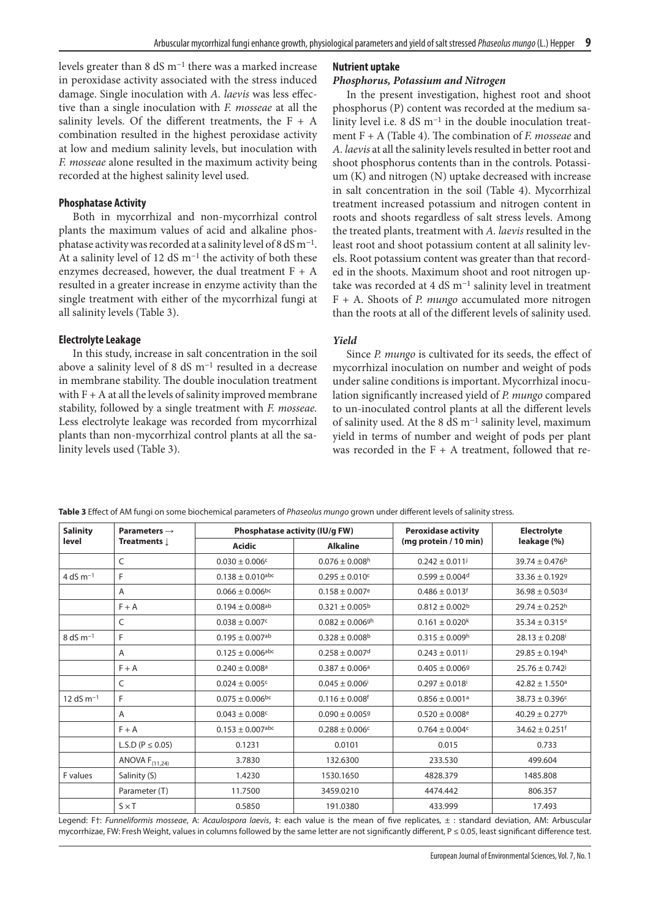levels greater than 8 dS m−1 there was a marked increase in peroxidase activity associated with the stress induced damage. Single inoculation with *A. laevis* was less effective than a single inoculation with *F. mosseae* at all the salinity levels. Of the different treatments, the  $F + A$ combination resulted in the highest peroxidase activity at low and medium salinity levels, but inoculation with *F. mosseae* alone resulted in the maximum activity being recorded at the highest salinity level used.

#### **Phosphatase Activity**

Both in mycorrhizal and non-mycorrhizal control plants the maximum values of acid and alkaline phosphatase activity was recorded at a salinity level of 8 dS m−1. At a salinity level of 12 dS m−1 the activity of both these enzymes decreased, however, the dual treatment  $F + A$ resulted in a greater increase in enzyme activity than the single treatment with either of the mycorrhizal fungi at all salinity levels (Table 3).

#### **Electrolyte Leakage**

In this study, increase in salt concentration in the soil above a salinity level of 8 dS  $\mathrm{m}^\mathrm{-1}$  resulted in a decrease in membrane stability. The double inoculation treatment with  $F + A$  at all the levels of salinity improved membrane stability, followed by a single treatment with *F. mosseae.*  Less electrolyte leakage was recorded from mycorrhizal plants than non-mycorrhizal control plants at all the salinity levels used (Table 3).

### **Nutrient uptake**

### *Phosphorus, Potassium and Nitrogen*

In the present investigation, highest root and shoot phosphorus (P) content was recorded at the medium salinity level i.e. 8 dS m−1 in the double inoculation treatment F + A (Table 4). The combination of *F. mosseae* and *A. laevis* at all the salinity levels resulted in better root and shoot phosphorus contents than in the controls. Potassium (K) and nitrogen (N) uptake decreased with increase in salt concentration in the soil (Table 4). Mycorrhizal treatment increased potassium and nitrogen content in roots and shoots regardless of salt stress levels. Among the treated plants, treatment with *A. laevis* resulted in the least root and shoot potassium content at all salinity levels. Root potassium content was greater than that recorded in the shoots. Maximum shoot and root nitrogen uptake was recorded at 4 dS m−1 salinity level in treatment F + A. Shoots of *P. mungo* accumulated more nitrogen than the roots at all of the different levels of salinity used.

#### *Yield*

Since *P. mungo* is cultivated for its seeds, the effect of mycorrhizal inoculation on number and weight of pods under saline conditions is important. Mycorrhizal inoculation significantly increased yield of *P. mungo* compared to un-inoculated control plants at all the different levels of salinity used. At the 8 dS m−1 salinity level, maximum yield in terms of number and weight of pods per plant was recorded in the  $F + A$  treatment, followed that re-

| <b>Salinity</b>         | Parameters $\rightarrow$ |                                 | Phosphatase activity (IU/g FW)  | <b>Peroxidase activity</b>     | <b>Electrolyte</b><br>leakage (%) |  |
|-------------------------|--------------------------|---------------------------------|---------------------------------|--------------------------------|-----------------------------------|--|
| level                   | Treatments $\downarrow$  | <b>Acidic</b>                   | <b>Alkaline</b>                 | (mg protein / 10 min)          |                                   |  |
|                         | C                        | $0.030 \pm 0.006$ c             | $0.076 \pm 0.008$ <sup>h</sup>  | $0.242 \pm 0.011$              | $39.74 \pm 0.476$ <sup>b</sup>    |  |
| 4 dS $m^{-1}$           | F                        | $0.138 \pm 0.010$ abc           | $0.295 \pm 0.010$ <sup>c</sup>  | $0.599 \pm 0.004$ <sup>d</sup> | $33.36 \pm 0.1929$                |  |
|                         | Α                        | $0.066 \pm 0.006$ <sub>bc</sub> | $0.158 \pm 0.007$ <sup>e</sup>  | $0.486 \pm 0.013$ <sup>f</sup> | $36.98 \pm 0.503$ d               |  |
|                         | $F + A$                  | $0.194 \pm 0.008^{ab}$          | $0.321 \pm 0.005^{\rm b}$       | $0.812 \pm 0.002^b$            | $29.74 \pm 0.252$ <sup>h</sup>    |  |
|                         | C                        | $0.038 \pm 0.007$ <sup>c</sup>  | $0.082 \pm 0.006$ <sup>gh</sup> | $0.161 \pm 0.020$ <sup>k</sup> | $35.34 \pm 0.315$ <sup>e</sup>    |  |
| $8 dS m-1$              | F                        | $0.195 \pm 0.007$ <sup>ab</sup> | $0.328 \pm 0.008$ <sup>b</sup>  | $0.315 \pm 0.009h$             | $28.13 \pm 0.208$ i               |  |
|                         | A                        | $0.125 \pm 0.006$ abc           | $0.258 \pm 0.007$ <sup>d</sup>  | $0.243 \pm 0.011^{j}$          | $29.85 \pm 0.194$ <sup>h</sup>    |  |
|                         | $F + A$                  | $0.240 \pm 0.008$ <sup>a</sup>  | $0.387 \pm 0.006$ <sup>a</sup>  | $0.405 \pm 0.0069$             | $25.76 \pm 0.742$                 |  |
|                         | C                        | $0.024 \pm 0.005$ c             | $0.045 \pm 0.006$               | $0.297 \pm 0.018$              | $42.82 \pm 1.550$ <sup>a</sup>    |  |
| $12$ dS m <sup>-1</sup> | F                        | $0.075 \pm 0.006$ <sup>bc</sup> | $0.116 \pm 0.008$ <sup>f</sup>  | $0.856 \pm 0.001$ <sup>a</sup> | $38.73 \pm 0.396$ c               |  |
|                         | A                        | $0.043 \pm 0.008$ c             | $0.090 \pm 0.0059$              | $0.520 \pm 0.008$ <sup>e</sup> | $40.29 \pm 0.277$ <sup>b</sup>    |  |
|                         | $F + A$                  | $0.153 \pm 0.007$ abc           | $0.288 \pm 0.006$ c             | $0.764 \pm 0.004c$             | $34.62 \pm 0.251$ <sup>f</sup>    |  |
|                         | L.S.D ( $P \le 0.05$ )   | 0.1231                          | 0.0101                          | 0.015                          | 0.733                             |  |
|                         | ANOVA $F_{(11,24)}$      | 3.7830                          | 132.6300                        | 233.530                        | 499.604                           |  |
| F values                | Salinity (S)             | 1.4230                          | 1530.1650                       | 4828.379                       | 1485.808                          |  |
|                         | Parameter (T)            | 11.7500                         | 3459.0210                       | 4474.442                       | 806.357                           |  |
|                         | $S \times T$             | 0.5850                          | 191.0380                        | 433.999                        | 17.493                            |  |

**Table 3** Effect of AM fungi on some biochemical parameters of *Phaseolus mungo* grown under different levels of salinity stress.

Legend: F†: *Funneliformis mosseae*, A: *Acaulospora laevis*, ‡: each value is the mean of five replicates, ± : standard deviation, AM: Arbuscular mycorrhizae, FW: Fresh Weight, values in columns followed by the same letter are not significantly different, P ≤ 0.05, least significant difference test.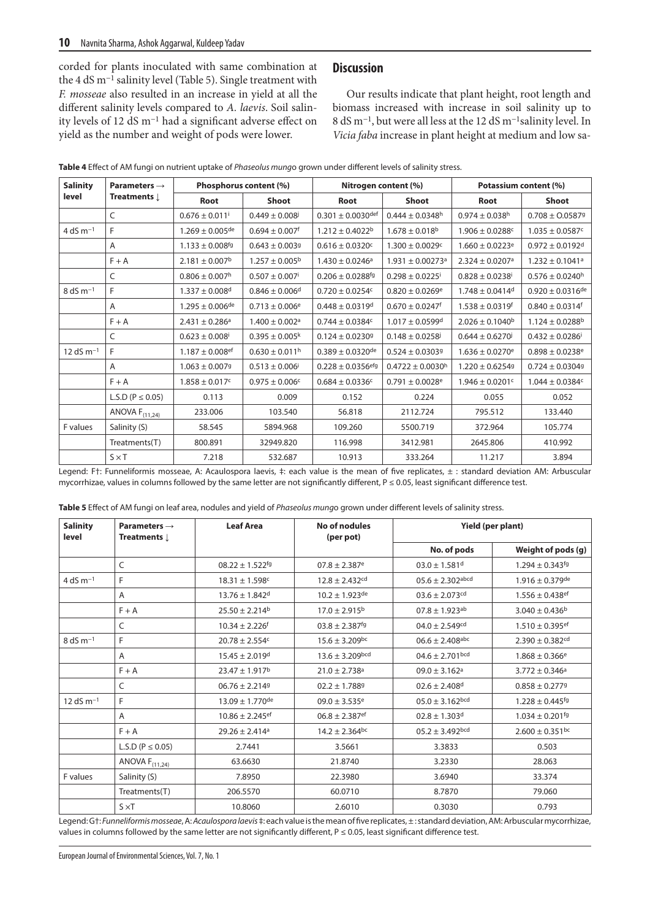corded for plants inoculated with same combination at the 4 dS m−1 salinity level (Table 5). Single treatment with *F. mosseae* also resulted in an increase in yield at all the different salinity levels compared to *A. laevis*. Soil salinity levels of 12 dS m−1 had a significant adverse effect on yield as the number and weight of pods were lower.

# **Discussion**

Our results indicate that plant height, root length and biomass increased with increase in soil salinity up to 8 dS m−1, but were all less at the 12 dS m−1salinity level. In *Vicia faba* increase in plant height at medium and low sa-

| <b>Salinity</b> | Parameters $\rightarrow$<br>Treatments L | Phosphorus content (%)          |                                | Nitrogen content (%)             |                                  | Potassium content (%)           |                                 |
|-----------------|------------------------------------------|---------------------------------|--------------------------------|----------------------------------|----------------------------------|---------------------------------|---------------------------------|
| level           |                                          | Root                            | <b>Shoot</b>                   | Root                             | <b>Shoot</b>                     | Root                            | <b>Shoot</b>                    |
|                 | C                                        | $0.676 \pm 0.011$ <sup>i</sup>  | $0.449 \pm 0.008$              | $0.301 \pm 0.0030$ def           | $0.444 \pm 0.0348$ h             | $0.974 \pm 0.038$ h             | $0.708 \pm 0.05879$             |
| 4 dS $m^{-1}$   | F                                        | $1.269 \pm 0.005$ de            | $0.694 \pm 0.007$ <sup>f</sup> | $1.212 \pm 0.4022$ <sup>b</sup>  | $1.678 \pm 0.018$ <sup>b</sup>   | $1.906 \pm 0.0288$ c            | $1.035 \pm 0.0587$ <sup>c</sup> |
|                 | A                                        | $1.133 \pm 0.008$ <sup>fg</sup> | $0.643 \pm 0.0039$             | $0.616 \pm 0.0320$ c             | $1.300 \pm 0.0029c$              | $1.660 \pm 0.0223$ <sup>e</sup> | $0.972 \pm 0.0192$ <sup>d</sup> |
|                 | $F + A$                                  | $2.181 \pm 0.007$ <sup>b</sup>  | $1.257 \pm 0.005^{\rm b}$      | $1.430 \pm 0.0246^a$             | $1.931 \pm 0.00273$ <sup>a</sup> | $2.324 \pm 0.0207$ <sup>a</sup> | $1.232 \pm 0.1041$ <sup>a</sup> |
|                 | C                                        | $0.806 \pm 0.007$ <sup>h</sup>  | $0.507 \pm 0.007$ <sup>i</sup> | $0.206 \pm 0.0288$ <sup>fg</sup> | $0.298 \pm 0.0225$ <sup>i</sup>  | $0.828 \pm 0.0238$              | $0.576 \pm 0.0240$ <sup>h</sup> |
| $8 dS m-1$      | F                                        | $1.337 \pm 0.008$ d             | $0.846 \pm 0.006$ <sup>d</sup> | $0.720 \pm 0.0254$ c             | $0.820 \pm 0.0269$ <sup>e</sup>  | $1.748 \pm 0.0414$ <sup>d</sup> | $0.920 \pm 0.0316$ de           |
|                 | A                                        | $1.295 \pm 0.006$ de            | $0.713 \pm 0.006$ <sup>e</sup> | $0.448 \pm 0.0319$ d             | $0.670 \pm 0.0247$ <sup>f</sup>  | $1.538 \pm 0.0319$ <sup>f</sup> | $0.840 \pm 0.0314$ <sup>f</sup> |
|                 | $F + A$                                  | $2.431 \pm 0.286$ <sup>a</sup>  | $1.400 \pm 0.002$ <sup>a</sup> | $0.744 \pm 0.0384$ c             | $1.017 \pm 0.0599$ <sup>d</sup>  | $2.026 \pm 0.1040^b$            | $1.124 \pm 0.0288$ <sup>b</sup> |
|                 | C                                        | $0.623 \pm 0.008$               | $0.395 \pm 0.005^k$            | $0.124 \pm 0.02309$              | $0.148 \pm 0.0258$               | $0.644 \pm 0.6270$              | $0.432 \pm 0.0286$ i            |
| 12 dS $m^{-1}$  | F                                        | $1.187 \pm 0.008$ <sup>ef</sup> | $0.630 \pm 0.011$ <sup>h</sup> | $0.389 \pm 0.0320$ de            | $0.524 \pm 0.03039$              | $1.636 \pm 0.0270$ <sup>e</sup> | $0.898 \pm 0.0238$ <sup>e</sup> |
|                 | A                                        | $1.063 \pm 0.0079$              | $0.513 \pm 0.006$ <sup>i</sup> | $0.228 \pm 0.0356$ efg           | $0.4722 \pm 0.0030$ <sup>h</sup> | $1.220 \pm 0.62549$             | $0.724 \pm 0.03049$             |
|                 | $F + A$                                  | $1.858 \pm 0.017$ c             | $0.975 \pm 0.006c$             | $0.684 \pm 0.0336c$              | $0.791 \pm 0.0028$ <sup>e</sup>  | $1.946 \pm 0.0201$ c            | $1.044 \pm 0.0384$ c            |
|                 | L.S.D ( $P \le 0.05$ )                   | 0.113                           | 0.009                          | 0.152                            | 0.224                            | 0.055                           | 0.052                           |
|                 | ANOVA $F_{(11,24)}$                      | 233.006                         | 103.540                        | 56.818                           | 2112.724                         | 795.512                         | 133.440                         |
| F values        | Salinity (S)                             | 58.545                          | 5894.968                       | 109.260                          | 5500.719                         | 372.964                         | 105.774                         |
|                 | Treatments(T)                            | 800.891                         | 32949.820                      | 116.998                          | 3412.981                         | 2645.806                        | 410.992                         |
|                 | $S \times T$                             | 7.218                           | 532.687                        | 10.913                           | 333.264                          | 11.217                          | 3.894                           |

Legend: Ft: Funneliformis mosseae, A: Acaulospora laevis, ‡: each value is the mean of five replicates, ± : standard deviation AM: Arbuscular mycorrhizae, values in columns followed by the same letter are not significantly different, P ≤ 0.05, least significant difference test.

| Table 5 Effect of AM fungi on leaf area, nodules and yield of Phaseolus mungo grown under different levels of salinity stress. |  |
|--------------------------------------------------------------------------------------------------------------------------------|--|
|--------------------------------------------------------------------------------------------------------------------------------|--|

| <b>Salinity</b><br>level | Parameters $\rightarrow$<br>Treatments $\downarrow$ | <b>Leaf Area</b>                | No of nodules<br>(per pot)     | Yield (per plant)               |                                 |  |
|--------------------------|-----------------------------------------------------|---------------------------------|--------------------------------|---------------------------------|---------------------------------|--|
|                          |                                                     |                                 |                                | No. of pods                     | Weight of pods (g)              |  |
|                          | C                                                   | $08.22 \pm 1.522$ fg            | $07.8 \pm 2.387$ <sup>e</sup>  | $03.0 \pm 1.581$ <sup>d</sup>   | $1.294 \pm 0.343$ <sup>fg</sup> |  |
| 4 dS $m^{-1}$            | F                                                   | $18.31 \pm 1.598c$              | $12.8 \pm 2.432$ <sup>cd</sup> | $05.6 \pm 2.302$ abcd           | $1.916 \pm 0.379$ de            |  |
|                          | Α                                                   | $13.76 \pm 1.842$ <sup>d</sup>  | $10.2 \pm 1.923$ de            | $03.6 \pm 2.073$ cd             | $1.556 \pm 0.438$ ef            |  |
|                          | $F + A$                                             | $25.50 \pm 2.214$ <sup>b</sup>  | $17.0 \pm 2.915^{\rm b}$       | $07.8 \pm 1.923$ <sup>ab</sup>  | $3.040 \pm 0.436$ <sup>b</sup>  |  |
|                          | C                                                   | $10.34 \pm 2.226$ <sup>f</sup>  | $03.8 \pm 2.387$ <sup>fg</sup> | $04.0 \pm 2.549$ <sup>cd</sup>  | $1.510 \pm 0.395$ <sup>ef</sup> |  |
| $8 dS m^{-1}$            | F                                                   | $20.78 \pm 2.554$ c             | $15.6 \pm 3.209$ bc            | $06.6 \pm 2.408$ abc            | $2.390 \pm 0.382$ <sup>cd</sup> |  |
|                          | A                                                   | $15.45 \pm 2.019$ <sup>d</sup>  | $13.6 \pm 3.209$ bcd           | $04.6 \pm 2.701$ <sub>bcd</sub> | $1.868 \pm 0.366$ <sup>e</sup>  |  |
|                          | $F + A$                                             | $23.47 \pm 1.917$ <sup>b</sup>  | $21.0 \pm 2.738$ a             | $09.0 \pm 3.162$ <sup>a</sup>   | $3.772 \pm 0.346$ <sup>a</sup>  |  |
|                          | C                                                   | $06.76 \pm 2.2149$              | $02.2 \pm 1.7889$              | $02.6 \pm 2.408$ <sup>d</sup>   | $0.858 \pm 0.2779$              |  |
| 12 dS $m^{-1}$           | F                                                   | $13.09 \pm 1.770$ <sup>de</sup> | $09.0 \pm 3.535$ <sup>e</sup>  | $05.0 \pm 3.162$ <sub>bcd</sub> | $1.228 \pm 0.445$ <sup>fg</sup> |  |
|                          | Α                                                   | $10.86 \pm 2.245$ <sup>ef</sup> | $06.8 \pm 2.387$ <sup>ef</sup> | $02.8 \pm 1.303$ <sup>d</sup>   | $1.034 \pm 0.201$ <sup>fg</sup> |  |
|                          | $F + A$                                             | $29.26 \pm 2.414$ <sup>a</sup>  | $14.2 \pm 2.364$ <sup>bc</sup> | $05.2 \pm 3.492$ <sub>bcd</sub> | $2.600 \pm 0.351$ <sub>bc</sub> |  |
|                          | L.S.D ( $P \le 0.05$ )                              | 2.7441                          | 3.5661                         | 3.3833                          | 0.503                           |  |
|                          | ANOVA $F_{(11,24)}$                                 | 63.6630                         | 21.8740                        | 3.2330                          | 28.063                          |  |
| F values                 | Salinity (S)                                        | 7.8950                          | 22.3980                        | 3.6940                          | 33.374                          |  |
|                          | Treatments(T)                                       | 206.5570                        | 60.0710                        | 8.7870                          | 79.060                          |  |
|                          | $S \times T$                                        | 10.8060                         | 2.6010                         | 0.3030                          | 0.793                           |  |

Legend: G†: *Funneliformis mosseae*, A: *Acaulospora laevis* ‡: each value is the mean of five replicates, ± : standard deviation, AM: Arbuscular mycorrhizae, values in columns followed by the same letter are not significantly different,  $P \le 0.05$ , least significant difference test.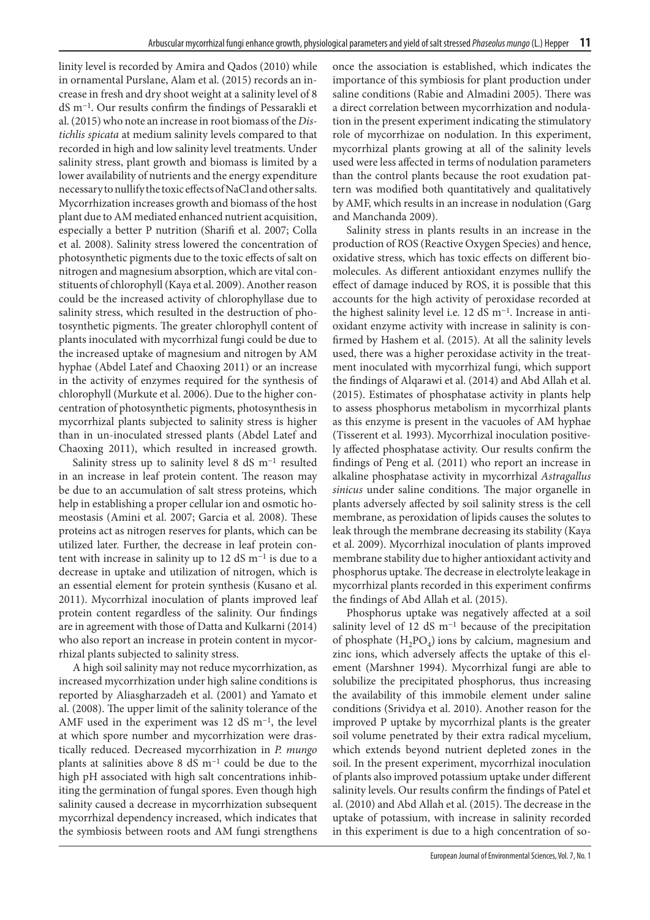linity level is recorded by Amira and Qados (2010) while in ornamental Purslane, Alam et al. (2015) records an increase in fresh and dry shoot weight at a salinity level of 8 dS m−1. Our results confirm the findings of Pessarakli et al. (2015) who note an increase in root biomass of the *Distichlis spicata* at medium salinity levels compared to that recorded in high and low salinity level treatments. Under salinity stress, plant growth and biomass is limited by a lower availability of nutrients and the energy expenditure necessary to nullify the toxic effects of NaCl and other salts. Mycorrhization increases growth and biomass of the host plant due to AM mediated enhanced nutrient acquisition, especially a better P nutrition (Sharifi et al. 2007; Colla et al. 2008). Salinity stress lowered the concentration of photosynthetic pigments due to the toxic effects of salt on nitrogen and magnesium absorption, which are vital constituents of chlorophyll (Kaya et al. 2009). Another reason could be the increased activity of chlorophyllase due to salinity stress, which resulted in the destruction of photosynthetic pigments. The greater chlorophyll content of plants inoculated with mycorrhizal fungi could be due to the increased uptake of magnesium and nitrogen by AM hyphae (Abdel Latef and Chaoxing 2011) or an increase in the activity of enzymes required for the synthesis of chlorophyll (Murkute et al. 2006). Due to the higher concentration of photosynthetic pigments, photosynthesis in mycorrhizal plants subjected to salinity stress is higher than in un-inoculated stressed plants (Abdel Latef and Chaoxing 2011), which resulted in increased growth.

Salinity stress up to salinity level 8 dS m−1 resulted in an increase in leaf protein content. The reason may be due to an accumulation of salt stress proteins, which help in establishing a proper cellular ion and osmotic homeostasis (Amini et al. 2007; Garcia et al. 2008). These proteins act as nitrogen reserves for plants, which can be utilized later. Further, the decrease in leaf protein content with increase in salinity up to 12 dS m−1 is due to a decrease in uptake and utilization of nitrogen, which is an essential element for protein synthesis (Kusano et al. 2011). Mycorrhizal inoculation of plants improved leaf protein content regardless of the salinity. Our findings are in agreement with those of Datta and Kulkarni (2014) who also report an increase in protein content in mycorrhizal plants subjected to salinity stress.

A high soil salinity may not reduce mycorrhization, as increased mycorrhization under high saline conditions is reported by Aliasgharzadeh et al. (2001) and Yamato et al. (2008). The upper limit of the salinity tolerance of the AMF used in the experiment was 12 dS m−1, the level at which spore number and mycorrhization were drastically reduced. Decreased mycorrhization in *P. mungo* plants at salinities above 8 dS m−1 could be due to the high pH associated with high salt concentrations inhibiting the germination of fungal spores. Even though high salinity caused a decrease in mycorrhization subsequent mycorrhizal dependency increased, which indicates that the symbiosis between roots and AM fungi strengthens

once the association is established, which indicates the importance of this symbiosis for plant production under saline conditions (Rabie and Almadini 2005). There was a direct correlation between mycorrhization and nodulation in the present experiment indicating the stimulatory role of mycorrhizae on nodulation. In this experiment, mycorrhizal plants growing at all of the salinity levels used were less affected in terms of nodulation parameters than the control plants because the root exudation pattern was modified both quantitatively and qualitatively by AMF, which results in an increase in nodulation (Garg and Manchanda 2009).

Salinity stress in plants results in an increase in the production of ROS (Reactive Oxygen Species) and hence, oxidative stress, which has toxic effects on different biomolecules. As different antioxidant enzymes nullify the effect of damage induced by ROS, it is possible that this accounts for the high activity of peroxidase recorded at the highest salinity level i.e. 12 dS m−1. Increase in antioxidant enzyme activity with increase in salinity is confirmed by Hashem et al. (2015). At all the salinity levels used, there was a higher peroxidase activity in the treatment inoculated with mycorrhizal fungi, which support the findings of Alqarawi et al. (2014) and Abd Allah et al. (2015). Estimates of phosphatase activity in plants help to assess phosphorus metabolism in mycorrhizal plants as this enzyme is present in the vacuoles of AM hyphae (Tisserent et al. 1993). Mycorrhizal inoculation positively affected phosphatase activity. Our results confirm the findings of Peng et al. (2011) who report an increase in alkaline phosphatase activity in mycorrhizal *Astragallus sinicus* under saline conditions. The major organelle in plants adversely affected by soil salinity stress is the cell membrane, as peroxidation of lipids causes the solutes to leak through the membrane decreasing its stability (Kaya et al. 2009). Mycorrhizal inoculation of plants improved membrane stability due to higher antioxidant activity and phosphorus uptake. The decrease in electrolyte leakage in mycorrhizal plants recorded in this experiment confirms the findings of Abd Allah et al. (2015).

Phosphorus uptake was negatively affected at a soil salinity level of 12 dS m<sup>-1</sup> because of the precipitation of phosphate  $(H_2PO_4)$  ions by calcium, magnesium and zinc ions, which adversely affects the uptake of this element (Marshner 1994). Mycorrhizal fungi are able to solubilize the precipitated phosphorus, thus increasing the availability of this immobile element under saline conditions (Srividya et al. 2010). Another reason for the improved P uptake by mycorrhizal plants is the greater soil volume penetrated by their extra radical mycelium, which extends beyond nutrient depleted zones in the soil. In the present experiment, mycorrhizal inoculation of plants also improved potassium uptake under different salinity levels. Our results confirm the findings of Patel et al. (2010) and Abd Allah et al. (2015). The decrease in the uptake of potassium, with increase in salinity recorded in this experiment is due to a high concentration of so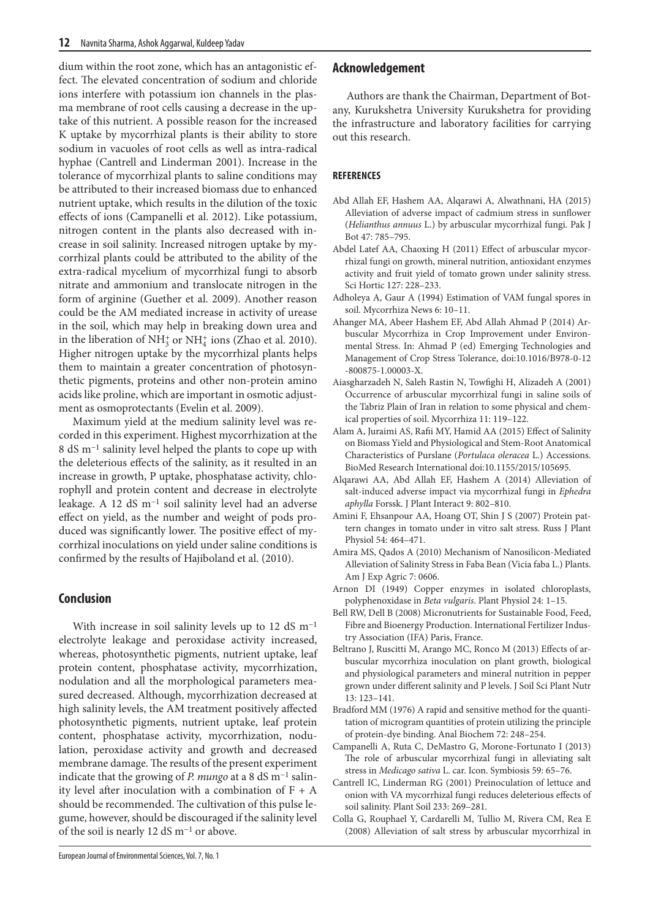dium within the root zone, which has an antagonistic effect. The elevated concentration of sodium and chloride ions interfere with potassium ion channels in the plasma membrane of root cells causing a decrease in the uptake of this nutrient. A possible reason for the increased K uptake by mycorrhizal plants is their ability to store sodium in vacuoles of root cells as well as intra-radical hyphae (Cantrell and Linderman 2001). Increase in the tolerance of mycorrhizal plants to saline conditions may be attributed to their increased biomass due to enhanced nutrient uptake, which results in the dilution of the toxic effects of ions (Campanelli et al. 2012). Like potassium, nitrogen content in the plants also decreased with increase in soil salinity. Increased nitrogen uptake by mycorrhizal plants could be attributed to the ability of the extra-radical mycelium of mycorrhizal fungi to absorb nitrate and ammonium and translocate nitrogen in the form of arginine (Guether et al. 2009). Another reason could be the AM mediated increase in activity of urease in the soil, which may help in breaking down urea and in the liberation of  $NH_3^+$  or  $NH_4^+$  ions (Zhao et al. 2010). Higher nitrogen uptake by the mycorrhizal plants helps them to maintain a greater concentration of photosynthetic pigments, proteins and other non-protein amino acids like proline, which are important in osmotic adjustment as osmoprotectants (Evelin et al. 2009).

Maximum yield at the medium salinity level was recorded in this experiment. Highest mycorrhization at the 8 dS m−1 salinity level helped the plants to cope up with the deleterious effects of the salinity, as it resulted in an increase in growth, P uptake, phosphatase activity, chlorophyll and protein content and decrease in electrolyte leakage. A 12 dS m−1 soil salinity level had an adverse effect on yield, as the number and weight of pods produced was significantly lower. The positive effect of mycorrhizal inoculations on yield under saline conditions is confirmed by the results of Hajiboland et al. (2010).

# **Conclusion**

With increase in soil salinity levels up to 12 dS m−1 electrolyte leakage and peroxidase activity increased, whereas, photosynthetic pigments, nutrient uptake, leaf protein content, phosphatase activity, mycorrhization, nodulation and all the morphological parameters measured decreased. Although, mycorrhization decreased at high salinity levels, the AM treatment positively affected photosynthetic pigments, nutrient uptake, leaf protein content, phosphatase activity, mycorrhization, nodulation, peroxidase activity and growth and decreased membrane damage. The results of the present experiment indicate that the growing of *P. mungo* at a 8 dS m−1 salinity level after inoculation with a combination of  $F + A$ should be recommended. The cultivation of this pulse legume, however, should be discouraged if the salinity level of the soil is nearly 12 dS m−1 or above.

# **Acknowledgement**

Authors are thank the Chairman, Department of Botany, Kurukshetra University Kurukshetra for providing the infrastructure and laboratory facilities for carrying out this research.

# **REFERENCES**

- Abd Allah EF, Hashem AA, Alqarawi A, Alwathnani, HA (2015) Alleviation of adverse impact of cadmium stress in sunflower (*Helianthus annuus* L.) by arbuscular mycorrhizal fungi. Pak J Bot 47: 785–795.
- Abdel Latef AA, Chaoxing H (2011) Effect of arbuscular mycorrhizal fungi on growth, mineral nutrition, antioxidant enzymes activity and fruit yield of tomato grown under salinity stress. Sci Hortic 127: 228–233.
- Adholeya A, Gaur A (1994) Estimation of VAM fungal spores in soil. Mycorrhiza News 6: 10–11.
- Ahanger MA, Abeer Hashem EF, Abd Allah Ahmad P (2014) Arbuscular Mycorrhiza in Crop Improvement under Environmental Stress. In: Ahmad P (ed) Emerging Technologies and Management of Crop Stress Tolerance, doi:10.1016/B978-0-12 -800875-1.00003-X.
- Aiasgharzadeh N, Saleh Rastin N, Towfighi H, Alizadeh A (2001) Occurrence of arbuscular mycorrhizal fungi in saline soils of the Tabriz Plain of Iran in relation to some physical and chemical properties of soil. Mycorrhiza 11: 119–122.
- Alam A, Juraimi AS, Rafii MY, Hamid AA (2015) Effect of Salinity on Biomass Yield and Physiological and Stem-Root Anatomical Characteristics of Purslane (*Portulaca oleracea* L.) Accessions. BioMed Research International doi:10.1155/2015/105695.
- Alqarawi AA, Abd Allah EF, Hashem A (2014) Alleviation of salt-induced adverse impact via mycorrhizal fungi in *Ephedra aphylla* Forssk. J Plant Interact 9: 802–810.
- Amini F, Ehsanpour AA, Hoang OT, Shin J S (2007) Protein pattern changes in tomato under in vitro salt stress. Russ J Plant Physiol 54: 464–471.
- Amira MS, Qados A (2010) Mechanism of Nanosilicon-Mediated Alleviation of Salinity Stress in Faba Bean (Vicia faba L.) Plants. Am J Exp Agric 7: 0606.
- Arnon DI (1949) Copper enzymes in isolated chloroplasts, polyphenoxidase in *Beta vulgaris*. Plant Physiol 24: 1–15.
- Bell RW, Dell B (2008) Micronutrients for Sustainable Food, Feed, Fibre and Bioenergy Production. International Fertilizer Industry Association (IFA) Paris, France.
- Beltrano J, Ruscitti M, Arango MC, Ronco M (2013) Effects of arbuscular mycorrhiza inoculation on plant growth, biological and physiological parameters and mineral nutrition in pepper grown under different salinity and P levels. J Soil Sci Plant Nutr 13: 123–141.
- Bradford MM (1976) A rapid and sensitive method for the quantitation of microgram quantities of protein utilizing the principle of protein-dye binding. Anal Biochem 72: 248–254.
- Campanelli A, Ruta C, DeMastro G, Morone-Fortunato I (2013) The role of arbuscular mycorrhizal fungi in alleviating salt stress in *Medicago sativa* L. car. Icon. Symbiosis 59: 65–76.
- Cantrell IC, Linderman RG (2001) Preinoculation of lettuce and onion with VA mycorrhizal fungi reduces deleterious effects of soil salinity. Plant Soil 233: 269–281.
- Colla G, Rouphael Y, Cardarelli M, Tullio M, Rivera CM, Rea E (2008) Alleviation of salt stress by arbuscular mycorrhizal in